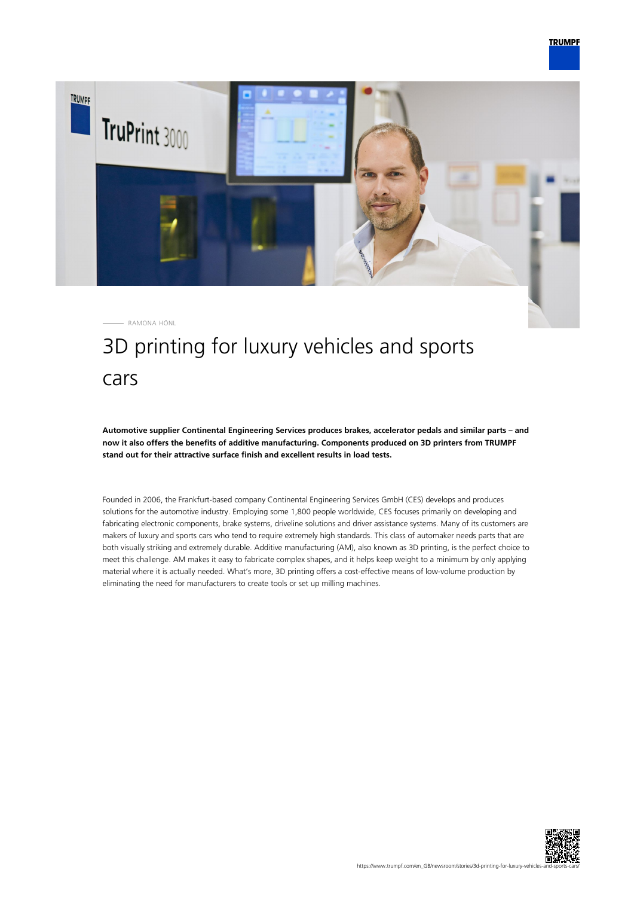

# 3D printing for luxury vehicles and sports cars

**Automotive supplier Continental Engineering Services produces brakes, accelerator pedals and similar parts – and now it also offers the benefits of additive manufacturing. Components produced on 3D printers from TRUMPF stand out for their attractive surface finish and excellent results in load tests.**

Founded in 2006, the Frankfurt-based company Continental Engineering Services GmbH (CES) develops and produces solutions for the automotive industry. Employing some 1,800 people worldwide, CES focuses primarily on developing and fabricating electronic components, brake systems, driveline solutions and driver assistance systems. Many of its customers are makers of luxury and sports cars who tend to require extremely high standards. This class of automaker needs parts that are both visually striking and extremely durable. Additive manufacturing (AM), also known as 3D printing, is the perfect choice to meet this challenge. AM makes it easy to fabricate complex shapes, and it helps keep weight to a minimum by only applying material where it is actually needed. What's more, 3D printing offers a cost-effective means of low-volume production by eliminating the need for manufacturers to create tools or set up milling machines.

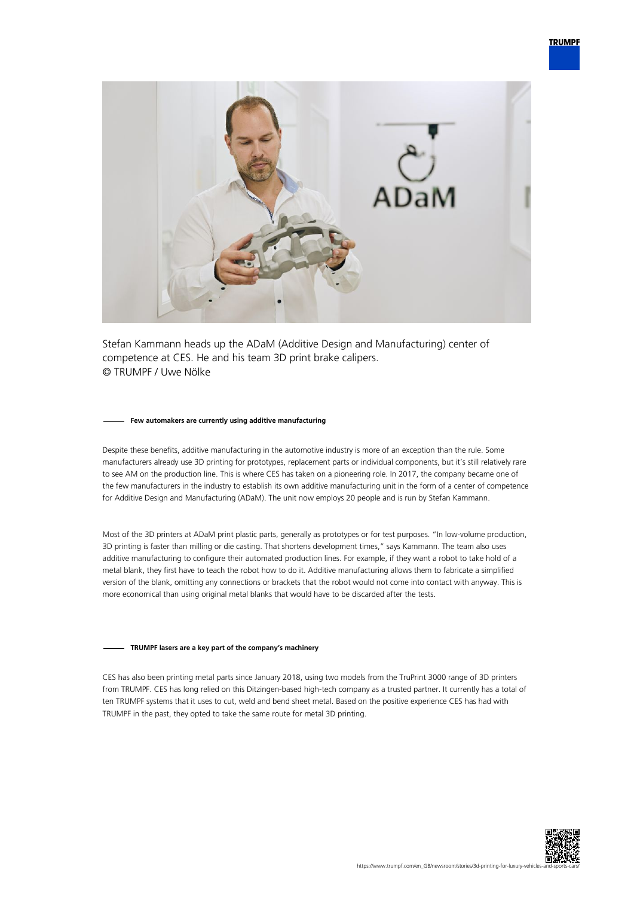

Stefan Kammann heads up the ADaM (Additive Design and Manufacturing) center of competence at CES. He and his team 3D print brake calipers. © TRUMPF / Uwe Nölke

#### **Few automakers are currently using additive manufacturing**

Despite these benefits, additive manufacturing in the automotive industry is more of an exception than the rule. Some manufacturers already use 3D printing for prototypes, replacement parts or individual components, but it's still relatively rare to see AM on the production line. This is where CES has taken on a pioneering role. In 2017, the company became one of the few manufacturers in the industry to establish its own additive manufacturing unit in the form of a center of competence for Additive Design and Manufacturing (ADaM). The unit now employs 20 people and is run by Stefan Kammann.

Most of the 3D printers at ADaM print plastic parts, generally as prototypes or for test purposes. "In low-volume production, 3D printing is faster than milling or die casting. That shortens development times," says Kammann. The team also uses additive manufacturing to configure their automated production lines. For example, if they want a robot to take hold of a metal blank, they first have to teach the robot how to do it. Additive manufacturing allows them to fabricate a simplified version of the blank, omitting any connections or brackets that the robot would not come into contact with anyway. This is more economical than using original metal blanks that would have to be discarded after the tests.

### **TRUMPF lasers are a key part of the company's machinery**

CES has also been printing metal parts since January 2018, using two models from the TruPrint 3000 range of 3D printers from TRUMPF. CES has long relied on this Ditzingen-based high-tech company as a trusted partner. It currently has a total of ten TRUMPF systems that it uses to cut, weld and bend sheet metal. Based on the positive experience CES has had with TRUMPF in the past, they opted to take the same route for metal 3D printing.

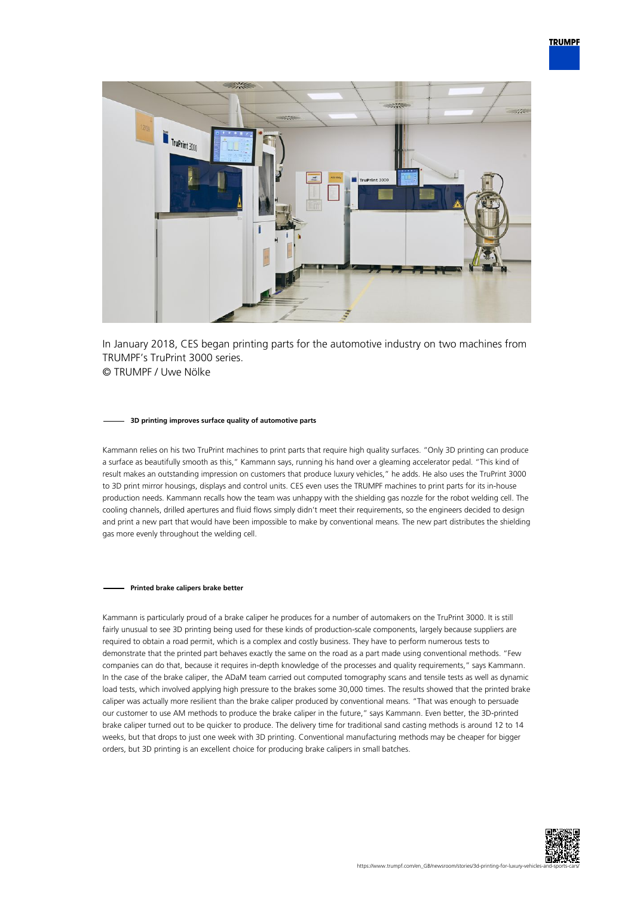

In January 2018, CES began printing parts for the automotive industry on two machines from TRUMPF's TruPrint 3000 series. © TRUMPF / Uwe Nölke

#### **3D printing improves surface quality of automotive parts**

Kammann relies on his two TruPrint machines to print parts that require high quality surfaces. "Only 3D printing can produce a surface as beautifully smooth as this," Kammann says, running his hand over a gleaming accelerator pedal. "This kind of result makes an outstanding impression on customers that produce luxury vehicles," he adds. He also uses the TruPrint 3000 to 3D print mirror housings, displays and control units. CES even uses the TRUMPF machines to print parts for its in-house production needs. Kammann recalls how the team was unhappy with the shielding gas nozzle for the robot welding cell. The cooling channels, drilled apertures and fluid flows simply didn't meet their requirements, so the engineers decided to design and print a new part that would have been impossible to make by conventional means. The new part distributes the shielding gas more evenly throughout the welding cell.

#### **Printed brake calipers brake better**

Kammann is particularly proud of a brake caliper he produces for a number of automakers on the TruPrint 3000. It is still fairly unusual to see 3D printing being used for these kinds of production-scale components, largely because suppliers are required to obtain a road permit, which is a complex and costly business. They have to perform numerous tests to demonstrate that the printed part behaves exactly the same on the road as a part made using conventional methods. "Few companies can do that, because it requires in-depth knowledge of the processes and quality requirements," says Kammann. In the case of the brake caliper, the ADaM team carried out computed tomography scans and tensile tests as well as dynamic load tests, which involved applying high pressure to the brakes some 30,000 times. The results showed that the printed brake caliper was actually more resilient than the brake caliper produced by conventional means. "That was enough to persuade our customer to use AM methods to produce the brake caliper in the future," says Kammann. Even better, the 3D-printed brake caliper turned out to be quicker to produce. The delivery time for traditional sand casting methods is around 12 to 14 weeks, but that drops to just one week with 3D printing. Conventional manufacturing methods may be cheaper for bigger orders, but 3D printing is an excellent choice for producing brake calipers in small batches.